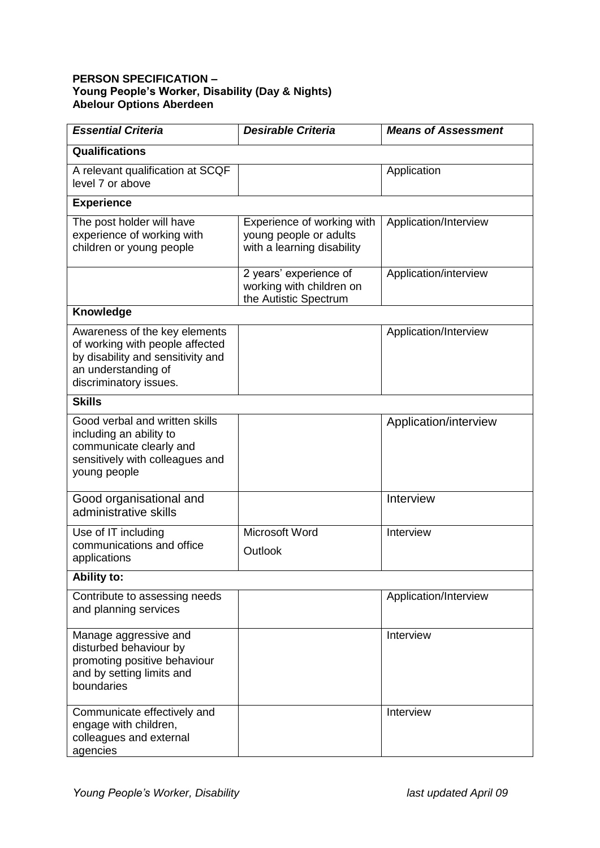## **PERSON SPECIFICATION – Young People's Worker, Disability (Day & Nights) Abelour Options Aberdeen**

| <b>Essential Criteria</b>                                                                                                                              | <b>Desirable Criteria</b>                                                          | <b>Means of Assessment</b> |  |
|--------------------------------------------------------------------------------------------------------------------------------------------------------|------------------------------------------------------------------------------------|----------------------------|--|
| Qualifications                                                                                                                                         |                                                                                    |                            |  |
| A relevant qualification at SCQF<br>level 7 or above                                                                                                   |                                                                                    | Application                |  |
| <b>Experience</b>                                                                                                                                      |                                                                                    |                            |  |
| The post holder will have<br>experience of working with<br>children or young people                                                                    | Experience of working with<br>young people or adults<br>with a learning disability | Application/Interview      |  |
|                                                                                                                                                        | 2 years' experience of<br>working with children on<br>the Autistic Spectrum        | Application/interview      |  |
| <b>Knowledge</b>                                                                                                                                       |                                                                                    |                            |  |
| Awareness of the key elements<br>of working with people affected<br>by disability and sensitivity and<br>an understanding of<br>discriminatory issues. |                                                                                    | Application/Interview      |  |
| <b>Skills</b>                                                                                                                                          |                                                                                    |                            |  |
| Good verbal and written skills<br>including an ability to<br>communicate clearly and<br>sensitively with colleagues and<br>young people                |                                                                                    | Application/interview      |  |
| Good organisational and<br>administrative skills                                                                                                       |                                                                                    | Interview                  |  |
| Use of IT including<br>communications and office<br>applications                                                                                       | Microsoft Word<br>Outlook                                                          | Interview                  |  |
| <b>Ability to:</b>                                                                                                                                     |                                                                                    |                            |  |
| Contribute to assessing needs<br>and planning services                                                                                                 |                                                                                    | Application/Interview      |  |
| Manage aggressive and<br>disturbed behaviour by<br>promoting positive behaviour<br>and by setting limits and<br>boundaries                             |                                                                                    | Interview                  |  |
| Communicate effectively and<br>engage with children,<br>colleagues and external<br>agencies                                                            |                                                                                    | Interview                  |  |